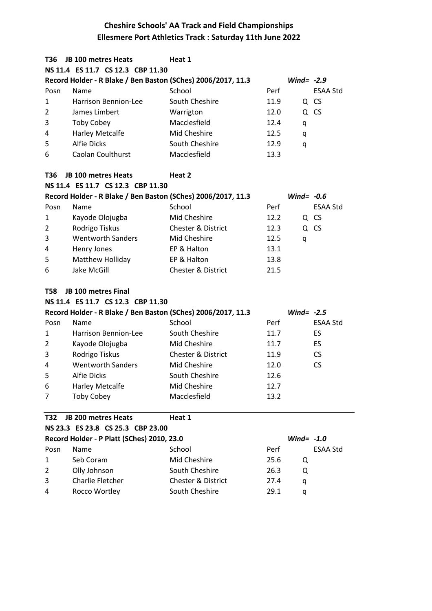| T36            | <b>JB 100 metres Heats</b>                                   | Heat 1                        |      |                 |
|----------------|--------------------------------------------------------------|-------------------------------|------|-----------------|
|                | NS 11.4 ES 11.7 CS 12.3 CBP 11.30                            |                               |      |                 |
|                | Record Holder - R Blake / Ben Baston (SChes) 2006/2017, 11.3 |                               |      | Wind= $-2.9$    |
| Posn           | Name                                                         | School                        | Perf | <b>ESAA Std</b> |
| 1              | Harrison Bennion-Lee                                         | South Cheshire                | 11.9 | Q CS            |
| $\overline{2}$ | James Limbert                                                | Warrigton                     | 12.0 | Q CS            |
| 3              | <b>Toby Cobey</b>                                            | Macclesfield                  | 12.4 | q               |
| 4              | Harley Metcalfe                                              | Mid Cheshire                  | 12.5 | q               |
| 5              | <b>Alfie Dicks</b>                                           | South Cheshire                | 12.9 | q               |
| 6              | <b>Caolan Coulthurst</b>                                     | Macclesfield                  | 13.3 |                 |
| T36            | JB 100 metres Heats                                          | Heat 2                        |      |                 |
|                | NS 11.4 ES 11.7 CS 12.3 CBP 11.30                            |                               |      |                 |
|                | Record Holder - R Blake / Ben Baston (SChes) 2006/2017, 11.3 |                               |      | Wind= $-0.6$    |
| Posn           | Name                                                         | School                        | Perf | <b>ESAA Std</b> |
| 1              | Kayode Olojugba                                              | Mid Cheshire                  | 12.2 | Q CS            |
| $\overline{2}$ | Rodrigo Tiskus                                               | <b>Chester &amp; District</b> | 12.3 | Q CS            |
| 3              | <b>Wentworth Sanders</b>                                     | Mid Cheshire                  | 12.5 | q               |
| 4              | Henry Jones                                                  | EP & Halton                   | 13.1 |                 |
| 5              | Matthew Holliday                                             | EP & Halton                   | 13.8 |                 |
|                | Jake McGill                                                  | <b>Chester &amp; District</b> | 21.5 |                 |
| 6              |                                                              |                               |      |                 |
| T58            | JB 100 metres Final                                          |                               |      |                 |
|                | NS 11.4 ES 11.7 CS 12.3 CBP 11.30                            |                               |      |                 |
|                | Record Holder - R Blake / Ben Baston (SChes) 2006/2017, 11.3 |                               |      | Wind= $-2.5$    |
| Posn           | Name                                                         | School                        | Perf | <b>ESAA Std</b> |
| $\mathbf{1}$   | Harrison Bennion-Lee                                         | South Cheshire                | 11.7 | ES              |
| 2              | Kayode Olojugba                                              | Mid Cheshire                  | 11.7 | <b>ES</b>       |
| 3              | Rodrigo Tiskus                                               | <b>Chester &amp; District</b> | 11.9 | <b>CS</b>       |
| 4              | <b>Wentworth Sanders</b>                                     | Mid Cheshire                  | 12.0 | <b>CS</b>       |
| 5              | <b>Alfie Dicks</b>                                           | South Cheshire                | 12.6 |                 |
| 6              | <b>Harley Metcalfe</b>                                       | Mid Cheshire                  | 12.7 |                 |
| 7              | <b>Toby Cobey</b>                                            | Macclesfield                  | 13.2 |                 |
| T32            | JB 200 metres Heats                                          | Heat 1                        |      |                 |
|                | NS 23.3 ES 23.8 CS 25.3 CBP 23.00                            |                               |      |                 |
|                | Record Holder - P Platt (SChes) 2010, 23.0                   |                               |      | Wind= $-1.0$    |
| Posn           | Name                                                         | School                        | Perf | <b>ESAA Std</b> |
| $\mathbf{1}$   | Seb Coram                                                    | Mid Cheshire                  | 25.6 | Q               |
| 2              | Olly Johnson                                                 | South Cheshire                | 26.3 | Q               |
| 3              | Charlie Fletcher                                             | Chester & District            | 27.4 | q               |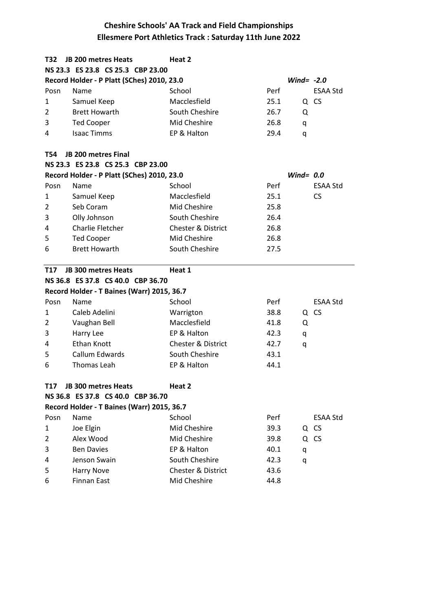| T32            | <b>JB 200 metres Heats</b>                 | Heat 2                        |      |              |                 |
|----------------|--------------------------------------------|-------------------------------|------|--------------|-----------------|
|                | NS 23.3 ES 23.8 CS 25.3 CBP 23.00          |                               |      |              |                 |
|                | Record Holder - P Platt (SChes) 2010, 23.0 |                               |      | Wind= $-2.0$ |                 |
| Posn           | Name                                       | School                        | Perf |              | <b>ESAA Std</b> |
| 1              | Samuel Keep                                | Macclesfield                  | 25.1 |              | Q CS            |
| 2              | <b>Brett Howarth</b>                       | South Cheshire                | 26.7 | Q            |                 |
| 3              | <b>Ted Cooper</b>                          | Mid Cheshire                  | 26.8 | q            |                 |
| 4              | <b>Isaac Timms</b>                         | EP & Halton                   | 29.4 | q            |                 |
| T54            | <b>JB 200 metres Final</b>                 |                               |      |              |                 |
|                | NS 23.3 ES 23.8 CS 25.3 CBP 23.00          |                               |      |              |                 |
|                | Record Holder - P Platt (SChes) 2010, 23.0 |                               |      | Wind= $0.0$  |                 |
| Posn           | Name                                       | School                        | Perf |              | <b>ESAA Std</b> |
| 1              | Samuel Keep                                | Macclesfield                  | 25.1 |              | <b>CS</b>       |
| $\overline{2}$ | Seb Coram                                  | Mid Cheshire                  | 25.8 |              |                 |
| 3              | Olly Johnson                               | South Cheshire                | 26.4 |              |                 |
| 4              | Charlie Fletcher                           | Chester & District            | 26.8 |              |                 |
| 5              | <b>Ted Cooper</b>                          | Mid Cheshire                  | 26.8 |              |                 |
| 6              | <b>Brett Howarth</b>                       | South Cheshire                | 27.5 |              |                 |
| T17            | <b>JB 300 metres Heats</b>                 | Heat 1                        |      |              |                 |
|                | NS 36.8 ES 37.8 CS 40.0 CBP 36.70          |                               |      |              |                 |
|                | Record Holder - T Baines (Warr) 2015, 36.7 |                               |      |              |                 |
| Posn           | Name                                       | School                        | Perf |              | <b>ESAA Std</b> |
| 1              | Caleb Adelini                              | Warrigton                     | 38.8 |              | Q CS            |
| $\overline{2}$ | Vaughan Bell                               | Macclesfield                  | 41.8 | Q            |                 |
| 3              | Harry Lee                                  | EP & Halton                   | 42.3 | q            |                 |
| 4              | <b>Ethan Knott</b>                         | <b>Chester &amp; District</b> | 42.7 | q            |                 |
| 5              | Callum Edwards                             | South Cheshire                | 43.1 |              |                 |
| 6              | Thomas Leah                                | EP & Halton                   | 44.1 |              |                 |
| T17            | JB 300 metres Heats                        | Heat 2                        |      |              |                 |
|                | NS 36.8 ES 37.8 CS 40.0 CBP 36.70          |                               |      |              |                 |
|                | Record Holder - T Baines (Warr) 2015, 36.7 |                               |      |              |                 |
| Posn           | Name                                       | School                        | Perf |              | ESAA Std        |
| 1              | Joe Elgin                                  | Mid Cheshire                  | 39.3 |              | Q CS            |
| 2              | Alex Wood                                  | Mid Cheshire                  | 39.8 |              | Q CS            |
| 3              | <b>Ben Davies</b>                          | EP & Halton                   | 40.1 | q            |                 |
| 4              | Jenson Swain                               | South Cheshire                | 42.3 | q            |                 |
| 5              | <b>Harry Nove</b>                          | Chester & District            | 43.6 |              |                 |
| 6              | <b>Finnan East</b>                         | Mid Cheshire                  | 44.8 |              |                 |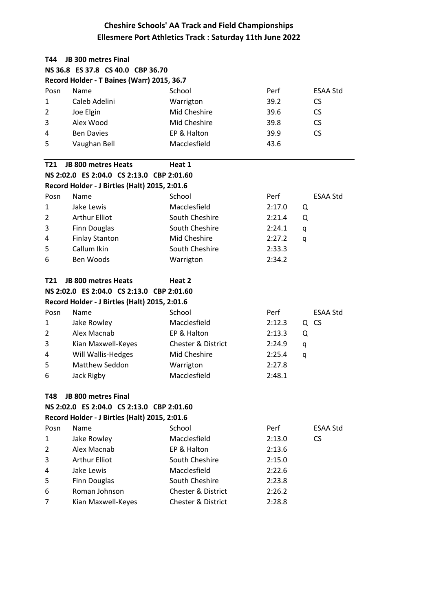| T44            | <b>JB 300 metres Final</b>                    |                               |             |                 |  |  |  |
|----------------|-----------------------------------------------|-------------------------------|-------------|-----------------|--|--|--|
|                | NS 36.8 ES 37.8 CS 40.0 CBP 36.70             |                               |             |                 |  |  |  |
|                | Record Holder - T Baines (Warr) 2015, 36.7    |                               |             |                 |  |  |  |
| Posn           | Name                                          | School                        | Perf        | <b>ESAA Std</b> |  |  |  |
| 1              | Caleb Adelini                                 | Warrigton                     | 39.2        | <b>CS</b>       |  |  |  |
| 2              | Joe Elgin                                     | Mid Cheshire                  | 39.6        | <b>CS</b>       |  |  |  |
| 3              | Alex Wood                                     | Mid Cheshire                  | 39.8        | <b>CS</b>       |  |  |  |
| 4              | <b>Ben Davies</b>                             | EP & Halton                   | 39.9        | <b>CS</b>       |  |  |  |
| 5              | Vaughan Bell                                  | Macclesfield                  | 43.6        |                 |  |  |  |
| <b>T21</b>     | <b>JB 800 metres Heats</b>                    | Heat 1                        |             |                 |  |  |  |
|                | NS 2:02.0 ES 2:04.0 CS 2:13.0 CBP 2:01.60     |                               |             |                 |  |  |  |
|                | Record Holder - J Birtles (Halt) 2015, 2:01.6 |                               |             |                 |  |  |  |
| Posn           | Name                                          | School                        | Perf        | <b>ESAA Std</b> |  |  |  |
| 1              | Jake Lewis                                    | Macclesfield                  | 2:17.0<br>Q |                 |  |  |  |
| $\overline{2}$ | <b>Arthur Elliot</b>                          | South Cheshire                | 2:21.4<br>Q |                 |  |  |  |
| 3              | Finn Douglas                                  | South Cheshire                | 2:24.1<br>q |                 |  |  |  |
| 4              | <b>Finlay Stanton</b>                         | Mid Cheshire                  | 2:27.2<br>q |                 |  |  |  |
| 5              | Callum Ikin                                   | South Cheshire                | 2:33.3      |                 |  |  |  |
| 6              | Ben Woods                                     | Warrigton                     | 2:34.2      |                 |  |  |  |
| T21            | <b>JB 800 metres Heats</b>                    | Heat 2                        |             |                 |  |  |  |
|                | NS 2:02.0 ES 2:04.0 CS 2:13.0 CBP 2:01.60     |                               |             |                 |  |  |  |
|                | Record Holder - J Birtles (Halt) 2015, 2:01.6 |                               |             |                 |  |  |  |
| Posn           | Name                                          | School                        | Perf        | <b>ESAA Std</b> |  |  |  |
| $\mathbf{1}$   | Jake Rowley                                   | Macclesfield                  | 2:12.3      | Q CS            |  |  |  |
| 2              | Alex Macnab                                   | EP & Halton                   | 2:13.3<br>Q |                 |  |  |  |
| 3              | Kian Maxwell-Keyes                            | <b>Chester &amp; District</b> | 2:24.9<br>q |                 |  |  |  |
| 4              | Will Wallis-Hedges                            | Mid Cheshire                  | 2:25.4<br>q |                 |  |  |  |
| 5              | <b>Matthew Seddon</b>                         | Warrigton                     | 2:27.8      |                 |  |  |  |
| 6              | Jack Rigby                                    | Macclesfield                  | 2:48.1      |                 |  |  |  |
| T48            | <b>JB 800 metres Final</b>                    |                               |             |                 |  |  |  |
|                | NS 2:02.0 ES 2:04.0 CS 2:13.0 CBP 2:01.60     |                               |             |                 |  |  |  |
|                | Record Holder - J Birtles (Halt) 2015, 2:01.6 |                               |             |                 |  |  |  |
| Posn           | Name                                          | School                        | Perf        | <b>ESAA Std</b> |  |  |  |
| 1              | Jake Rowley                                   | Macclesfield                  | 2:13.0      | <b>CS</b>       |  |  |  |
| 2              | Alex Macnab                                   | EP & Halton                   | 2:13.6      |                 |  |  |  |
| 3              | <b>Arthur Elliot</b>                          | South Cheshire                | 2:15.0      |                 |  |  |  |
| 4              | Jake Lewis                                    | Macclesfield                  | 2:22.6      |                 |  |  |  |
| 5              | Finn Douglas                                  | South Cheshire                | 2:23.8      |                 |  |  |  |
| 6              | Roman Johnson                                 | <b>Chester &amp; District</b> | 2:26.2      |                 |  |  |  |
| 7              | Kian Maxwell-Keyes                            | <b>Chester &amp; District</b> | 2:28.8      |                 |  |  |  |
|                |                                               |                               |             |                 |  |  |  |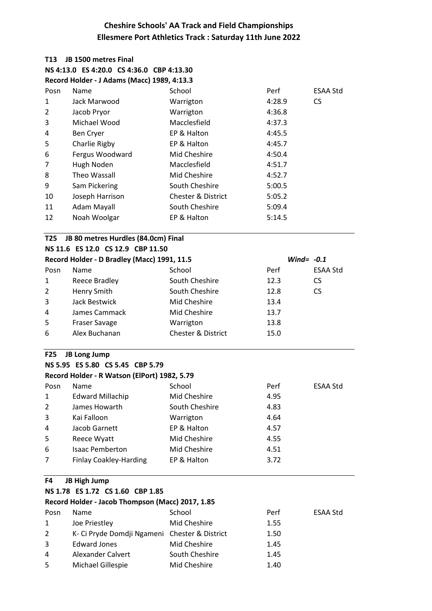| T13            | JB 1500 metres Final                             |                               |              |                 |
|----------------|--------------------------------------------------|-------------------------------|--------------|-----------------|
|                | NS 4:13.0 ES 4:20.0 CS 4:36.0 CBP 4:13.30        |                               |              |                 |
|                | Record Holder - J Adams (Macc) 1989, 4:13.3      |                               |              |                 |
| Posn           | Name                                             | School                        | Perf         | <b>ESAA Std</b> |
| 1              | Jack Marwood                                     | Warrigton                     | 4:28.9       | <b>CS</b>       |
| $\overline{2}$ | Jacob Pryor                                      | Warrigton                     | 4:36.8       |                 |
| 3              | Michael Wood                                     | Macclesfield                  | 4:37.3       |                 |
| 4              | Ben Cryer                                        | EP & Halton                   | 4:45.5       |                 |
| 5              | Charlie Rigby                                    | EP & Halton                   | 4:45.7       |                 |
| 6              | Fergus Woodward                                  | Mid Cheshire                  | 4:50.4       |                 |
| 7              | Hugh Noden                                       | Macclesfield                  | 4:51.7       |                 |
| 8              | Theo Wassall                                     | Mid Cheshire                  | 4:52.7       |                 |
| 9              | Sam Pickering                                    | South Cheshire                | 5:00.5       |                 |
| 10             | Joseph Harrison                                  | <b>Chester &amp; District</b> | 5:05.2       |                 |
| 11             | Adam Mayall                                      | South Cheshire                | 5:09.4       |                 |
| 12             | Noah Woolgar                                     | EP & Halton                   | 5:14.5       |                 |
| T25            | JB 80 metres Hurdles (84.0cm) Final              |                               |              |                 |
|                | NS 11.6 ES 12.0 CS 12.9 CBP 11.50                |                               |              |                 |
|                | Record Holder - D Bradley (Macc) 1991, 11.5      |                               | Wind= $-0.1$ |                 |
| Posn           | Name                                             | School                        | Perf         | <b>ESAA Std</b> |
| 1              | Reece Bradley                                    | South Cheshire                | 12.3         | <b>CS</b>       |
| $\overline{2}$ | <b>Henry Smith</b>                               | South Cheshire                | 12.8         | <b>CS</b>       |
| 3              | Jack Bestwick                                    | Mid Cheshire                  | 13.4         |                 |
| 4              | James Cammack                                    | Mid Cheshire                  | 13.7         |                 |
| 5              | Fraser Savage                                    | Warrigton                     | 13.8         |                 |
| 6              | Alex Buchanan                                    | <b>Chester &amp; District</b> | 15.0         |                 |
| <b>F25</b>     | <b>JB Long Jump</b>                              |                               |              |                 |
|                | NS 5.95 ES 5.80 CS 5.45 CBP 5.79                 |                               |              |                 |
|                | Record Holder - R Watson (ElPort) 1982, 5.79     |                               |              |                 |
| Posn           | Name                                             | School                        | Perf         | ESAA Std        |
| $\mathbf{1}$   | <b>Edward Millachip</b>                          | Mid Cheshire                  | 4.95         |                 |
| 2              | James Howarth                                    | South Cheshire                | 4.83         |                 |
| 3              | Kai Falloon                                      | Warrigton                     | 4.64         |                 |
| 4              | Jacob Garnett                                    | EP & Halton                   | 4.57         |                 |
| 5              | Reece Wyatt                                      | Mid Cheshire                  | 4.55         |                 |
| 6              | <b>Isaac Pemberton</b>                           | Mid Cheshire                  | 4.51         |                 |
| 7              | <b>Finlay Coakley-Harding</b>                    | EP & Halton                   | 3.72         |                 |
| F4             | <b>JB High Jump</b>                              |                               |              |                 |
|                | NS 1.78 ES 1.72 CS 1.60 CBP 1.85                 |                               |              |                 |
|                | Record Holder - Jacob Thompson (Macc) 2017, 1.85 |                               |              |                 |
| Posn           | Name                                             | School                        | Perf         | ESAA Std        |
| 1              | Joe Priestley                                    | Mid Cheshire                  | 1.55         |                 |
| $\overline{2}$ | K- Ci Pryde Domdji Ngameni Chester & District    |                               | 1.50         |                 |
| 3              | <b>Edward Jones</b>                              | Mid Cheshire                  | 1.45         |                 |
| 4              | Alexander Calvert                                | South Cheshire                | 1.45         |                 |

5 Michael Gillespie Mid Cheshire 1.40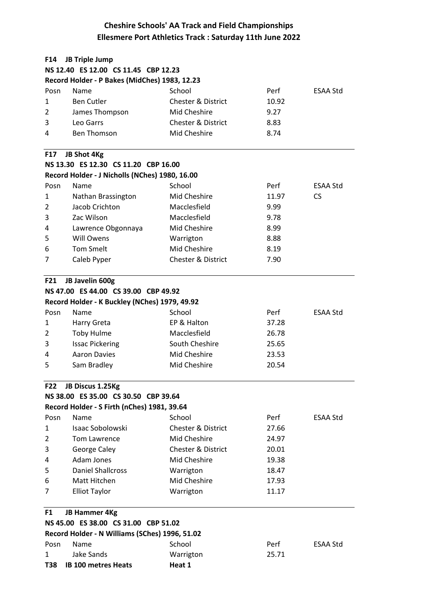| F14          | <b>JB Triple Jump</b>                          |                               |       |                 |  |  |
|--------------|------------------------------------------------|-------------------------------|-------|-----------------|--|--|
|              | NS 12.40 ES 12.00 CS 11.45 CBP 12.23           |                               |       |                 |  |  |
|              | Record Holder - P Bakes (MidChes) 1983, 12.23  |                               |       |                 |  |  |
| Posn         | Name                                           | School                        | Perf  | <b>ESAA Std</b> |  |  |
| $\mathbf{1}$ | <b>Ben Cutler</b>                              | <b>Chester &amp; District</b> | 10.92 |                 |  |  |
| 2            | James Thompson                                 | Mid Cheshire                  | 9.27  |                 |  |  |
| 3            | Leo Garrs                                      | <b>Chester &amp; District</b> | 8.83  |                 |  |  |
| 4            | <b>Ben Thomson</b>                             | <b>Mid Cheshire</b>           | 8.74  |                 |  |  |
| <b>F17</b>   | JB Shot 4Kg                                    |                               |       |                 |  |  |
|              | NS 13.30 ES 12.30 CS 11.20 CBP 16.00           |                               |       |                 |  |  |
|              | Record Holder - J Nicholls (NChes) 1980, 16.00 |                               |       |                 |  |  |
| Posn         | Name                                           | School                        | Perf  | <b>ESAA Std</b> |  |  |
| 1            | Nathan Brassington                             | Mid Cheshire                  | 11.97 | <b>CS</b>       |  |  |
| 2            | Jacob Crichton                                 | Macclesfield                  | 9.99  |                 |  |  |
| 3            | Zac Wilson                                     | Macclesfield                  | 9.78  |                 |  |  |
| 4            | Lawrence Obgonnaya                             | Mid Cheshire                  | 8.99  |                 |  |  |
| 5            | <b>Will Owens</b>                              | Warrigton                     | 8.88  |                 |  |  |
| 6            | <b>Tom Smelt</b>                               | <b>Mid Cheshire</b>           | 8.19  |                 |  |  |
| 7            | Caleb Pyper                                    | <b>Chester &amp; District</b> | 7.90  |                 |  |  |
| F21          | JB Javelin 600g                                |                               |       |                 |  |  |
|              | NS 47.00 ES 44.00 CS 39.00 CBP 49.92           |                               |       |                 |  |  |
|              | Record Holder - K Buckley (NChes) 1979, 49.92  |                               |       |                 |  |  |
| Posn         | Name                                           | School                        | Perf  | <b>ESAA Std</b> |  |  |
| 1            | Harry Greta                                    | EP & Halton                   | 37.28 |                 |  |  |
| 2            | <b>Toby Hulme</b>                              | Macclesfield                  | 26.78 |                 |  |  |
| 3            | <b>Issac Pickering</b>                         | South Cheshire                | 25.65 |                 |  |  |
| 4            | <b>Aaron Davies</b>                            | Mid Cheshire                  | 23.53 |                 |  |  |
| 5            | Sam Bradley                                    | Mid Cheshire                  | 20.54 |                 |  |  |
| <b>F22</b>   | JB Discus 1.25Kg                               |                               |       |                 |  |  |
|              | NS 38.00 ES 35.00 CS 30.50 CBP 39.64           |                               |       |                 |  |  |
|              | Record Holder - S Firth (nChes) 1981, 39.64    |                               |       |                 |  |  |
| Posn         | Name                                           | School                        | Perf  | ESAA Std        |  |  |
| 1            | Isaac Sobolowski                               | Chester & District            | 27.66 |                 |  |  |
| 2            | <b>Tom Lawrence</b>                            | Mid Cheshire                  | 24.97 |                 |  |  |
| 3            | George Caley                                   | <b>Chester &amp; District</b> | 20.01 |                 |  |  |
| 4            | Adam Jones                                     | Mid Cheshire                  | 19.38 |                 |  |  |
| 5            | <b>Daniel Shallcross</b>                       | Warrigton                     | 18.47 |                 |  |  |
| 6            | Matt Hitchen                                   | Mid Cheshire                  | 17.93 |                 |  |  |
| 7            | <b>Elliot Taylor</b>                           | Warrigton                     | 11.17 |                 |  |  |
| F1           | <b>JB Hammer 4Kg</b>                           |                               |       |                 |  |  |
|              | NS 45.00 ES 38.00 CS 31.00 CBP 51.02           |                               |       |                 |  |  |
|              | Record Holder - N Williams (SChes) 1996, 51.02 |                               |       |                 |  |  |
| Posn         | Name                                           | School                        | Perf  | <b>ESAA Std</b> |  |  |
| 1            | <b>Jake Sands</b>                              | Warrigton                     | 25.71 |                 |  |  |
| T38          | <b>IB 100 metres Heats</b>                     | Heat 1                        |       |                 |  |  |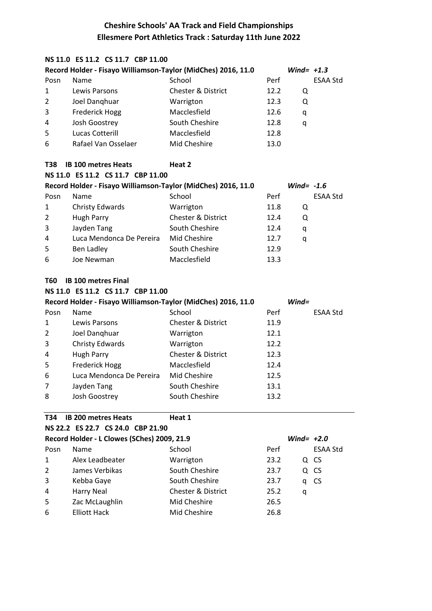#### **NS 11.0 ES 11.2 CS 11.7 CBP 11.00**

| Record Holder - Fisayo Williamson-Taylor (MidChes) 2016, 11.0 |                       |                               |      |   | Wind= $+1.3$    |
|---------------------------------------------------------------|-----------------------|-------------------------------|------|---|-----------------|
| Posn                                                          | <b>Name</b>           | School                        | Perf |   | <b>ESAA Std</b> |
| 1                                                             | Lewis Parsons         | <b>Chester &amp; District</b> | 12.2 | Q |                 |
| $\overline{2}$                                                | Joel Danghuar         | Warrigton                     | 12.3 | Q |                 |
| 3                                                             | <b>Frederick Hogg</b> | Macclesfield                  | 12.6 | q |                 |
| 4                                                             | Josh Goostrey         | South Cheshire                | 12.8 | a |                 |
| 5                                                             | Lucas Cotterill       | Macclesfield                  | 12.8 |   |                 |
| 6                                                             | Rafael Van Osselaer   | Mid Cheshire                  | 13.0 |   |                 |

#### **T38 IB 100 metres Heats Heat 2**

| NS 11.0 ES 11.2 CS 11.7 CBP 11.00 |                                                                               |                               |      |                 |  |  |  |
|-----------------------------------|-------------------------------------------------------------------------------|-------------------------------|------|-----------------|--|--|--|
|                                   | Record Holder - Fisayo Williamson-Taylor (MidChes) 2016, 11.0<br>Wind= $-1.6$ |                               |      |                 |  |  |  |
| Posn                              | Name                                                                          | School                        | Perf | <b>ESAA Std</b> |  |  |  |
| $\mathbf{1}$                      | Christy Edwards                                                               | Warrigton                     | 11.8 | Q               |  |  |  |
| $2^{\circ}$                       | Hugh Parry                                                                    | <b>Chester &amp; District</b> | 12.4 | Q               |  |  |  |
| 3                                 | Jayden Tang                                                                   | South Cheshire                | 12.4 | q               |  |  |  |
| 4                                 | Luca Mendonca De Pereira                                                      | Mid Cheshire                  | 12.7 | q               |  |  |  |
| 5                                 | Ben Ladley                                                                    | South Cheshire                | 12.9 |                 |  |  |  |
| 6                                 | Joe Newman                                                                    | Macclesfield                  | 13.3 |                 |  |  |  |

#### **T60 IB 100 metres Final**

|  |  | NS 11.0 ES 11.2 CS 11.7 CBP 11.00 |  |  |  |
|--|--|-----------------------------------|--|--|--|
|--|--|-----------------------------------|--|--|--|

|                | Record Holder - Fisayo Williamson-Taylor (MidChes) 2016, 11.0 |                               | $Wind =$ |          |
|----------------|---------------------------------------------------------------|-------------------------------|----------|----------|
| Posn           | Name                                                          | School                        | Perf     | ESAA Std |
| 1              | Lewis Parsons                                                 | <b>Chester &amp; District</b> | 11.9     |          |
| 2              | Joel Danghuar                                                 | Warrigton                     | 12.1     |          |
| 3              | Christy Edwards                                               | Warrigton                     | 12.2     |          |
| $\overline{4}$ | Hugh Parry                                                    | Chester & District            | 12.3     |          |
| 5              | <b>Frederick Hogg</b>                                         | Macclesfield                  | 12.4     |          |
| 6              | Luca Mendonca De Pereira                                      | Mid Cheshire                  | 12.5     |          |
| $\overline{7}$ | Jayden Tang                                                   | South Cheshire                | 13.1     |          |
| 8              | Josh Goostrey                                                 | South Cheshire                | 13.2     |          |

#### **T34 IB 200 metres Heats Heat 1**

| NS 22.2 ES 22.7 CS 24.0 CBP 21.90                           |                     |                               |      |   |                 |  |
|-------------------------------------------------------------|---------------------|-------------------------------|------|---|-----------------|--|
| Record Holder - L Clowes (SChes) 2009, 21.9<br>Wind= $+2.0$ |                     |                               |      |   |                 |  |
| Posn                                                        | Name                | School                        | Perf |   | <b>ESAA Std</b> |  |
| 1                                                           | Alex Leadbeater     | Warrigton                     | 23.2 |   | Q CS            |  |
| $\overline{2}$                                              | James Verbikas      | South Cheshire                | 23.7 |   | Q CS            |  |
| 3                                                           | Kebba Gaye          | South Cheshire                | 23.7 | q | <b>CS</b>       |  |
| 4                                                           | Harry Neal          | <b>Chester &amp; District</b> | 25.2 | q |                 |  |
| 5                                                           | Zac McLaughlin      | Mid Cheshire                  | 26.5 |   |                 |  |
| 6                                                           | <b>Elliott Hack</b> | Mid Cheshire                  | 26.8 |   |                 |  |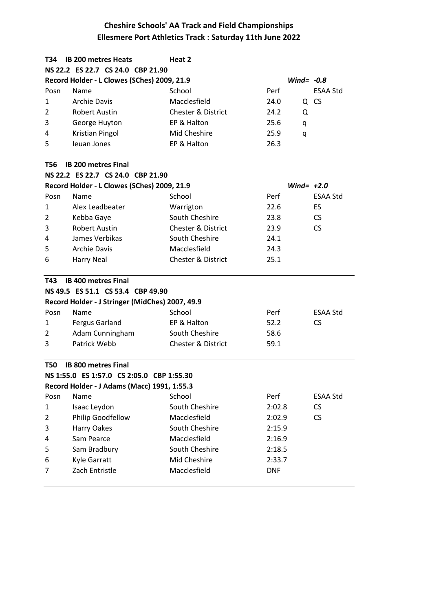| T34            | <b>IB 200 metres Heats</b>                      | Heat 2                        |              |                 |
|----------------|-------------------------------------------------|-------------------------------|--------------|-----------------|
|                | NS 22.2 ES 22.7 CS 24.0 CBP 21.90               |                               |              |                 |
|                | Record Holder - L Clowes (SChes) 2009, 21.9     |                               | Wind= $-0.8$ |                 |
| Posn           | Name                                            | School                        | Perf         | <b>ESAA Std</b> |
| 1              | <b>Archie Davis</b>                             | Macclesfield                  | 24.0         | Q CS            |
| 2              | Robert Austin                                   | <b>Chester &amp; District</b> | 24.2<br>Q    |                 |
| 3              | George Huyton                                   | EP & Halton                   | 25.6<br>q    |                 |
| 4              | Kristian Pingol                                 | Mid Cheshire                  | 25.9<br>q    |                 |
| 5              | Ieuan Jones                                     | EP & Halton                   | 26.3         |                 |
|                |                                                 |                               |              |                 |
| T56            | <b>IB 200 metres Final</b>                      |                               |              |                 |
|                | NS 22.2 ES 22.7 CS 24.0 CBP 21.90               |                               |              |                 |
|                | Record Holder - L Clowes (SChes) 2009, 21.9     |                               | Wind= $+2.0$ |                 |
| Posn           | Name                                            | School                        | Perf         | <b>ESAA Std</b> |
| 1              | Alex Leadbeater                                 | Warrigton                     | 22.6         | ES              |
| $\overline{2}$ | Kebba Gaye                                      | South Cheshire                | 23.8         | CS              |
| 3              | <b>Robert Austin</b>                            | <b>Chester &amp; District</b> | 23.9         | <b>CS</b>       |
| 4              | James Verbikas                                  | South Cheshire                | 24.1         |                 |
| 5              | <b>Archie Davis</b>                             | Macclesfield                  | 24.3         |                 |
| 6              | <b>Harry Neal</b>                               | <b>Chester &amp; District</b> | 25.1         |                 |
| T43            | <b>IB 400 metres Final</b>                      |                               |              |                 |
|                | NS 49.5 ES 51.1 CS 53.4 CBP 49.90               |                               |              |                 |
|                | Record Holder - J Stringer (MidChes) 2007, 49.9 |                               |              |                 |
| Posn           | Name                                            | School                        | Perf         | <b>ESAA Std</b> |
| 1              | <b>Fergus Garland</b>                           | EP & Halton                   | 52.2         | <b>CS</b>       |
| $\overline{2}$ | Adam Cunningham                                 | South Cheshire                | 58.6         |                 |
| 3              | Patrick Webb                                    | <b>Chester &amp; District</b> | 59.1         |                 |
| <b>T50</b>     | <b>IB 800 metres Final</b>                      |                               |              |                 |
|                | NS 1:55.0 ES 1:57.0 CS 2:05.0 CBP 1:55.30       |                               |              |                 |
|                | Record Holder - J Adams (Macc) 1991, 1:55.3     |                               |              |                 |
| Posn           | Name                                            | School                        | Perf         | <b>ESAA Std</b> |
| 1              | Isaac Leydon                                    | South Cheshire                | 2:02.8       | <b>CS</b>       |
| $\overline{2}$ | Philip Goodfellow                               | Macclesfield                  | 2:02.9       | <b>CS</b>       |
| 3              | Harry Oakes                                     | South Cheshire                | 2:15.9       |                 |
| 4              | Sam Pearce                                      | Macclesfield                  | 2:16.9       |                 |
| 5              | Sam Bradbury                                    | South Cheshire                | 2:18.5       |                 |
| 6              | Kyle Garratt                                    | Mid Cheshire                  | 2:33.7       |                 |
|                |                                                 |                               |              |                 |
| 7              | Zach Entristle                                  | Macclesfield                  | <b>DNF</b>   |                 |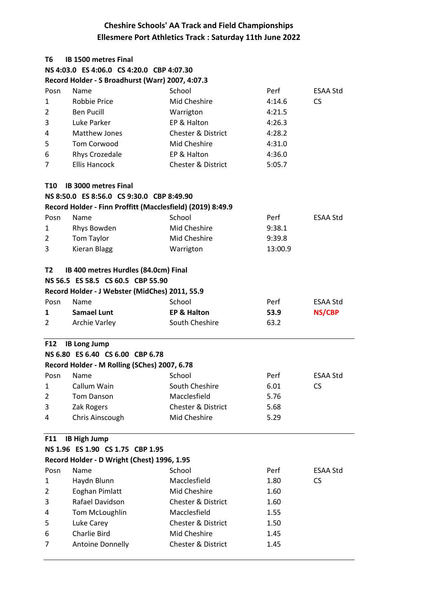| Т6                               | <b>IB 1500 metres Final</b>                                |                               |         |                 |  |
|----------------------------------|------------------------------------------------------------|-------------------------------|---------|-----------------|--|
|                                  | NS 4:03.0 ES 4:06.0 CS 4:20.0 CBP 4:07.30                  |                               |         |                 |  |
|                                  | Record Holder - S Broadhurst (Warr) 2007, 4:07.3           |                               |         |                 |  |
| Posn                             | Name                                                       | School                        | Perf    | <b>ESAA Std</b> |  |
| 1                                | <b>Robbie Price</b>                                        | Mid Cheshire                  | 4:14.6  | <b>CS</b>       |  |
| $\overline{2}$                   | <b>Ben Pucill</b>                                          | Warrigton                     | 4:21.5  |                 |  |
| 3                                | Luke Parker                                                | EP & Halton                   | 4:26.3  |                 |  |
| 4                                | <b>Matthew Jones</b>                                       | <b>Chester &amp; District</b> | 4:28.2  |                 |  |
| 5                                | <b>Tom Corwood</b>                                         | Mid Cheshire                  | 4:31.0  |                 |  |
| 6                                | Rhys Crozedale                                             | EP & Halton                   | 4:36.0  |                 |  |
| 7                                | <b>Ellis Hancock</b>                                       | <b>Chester &amp; District</b> | 5:05.7  |                 |  |
| T10                              | <b>IB 3000 metres Final</b>                                |                               |         |                 |  |
|                                  | NS 8:50.0 ES 8:56.0 CS 9:30.0 CBP 8:49.90                  |                               |         |                 |  |
|                                  | Record Holder - Finn Proffitt (Macclesfield) (2019) 8:49.9 |                               |         |                 |  |
| Posn                             | Name                                                       | School                        | Perf    | ESAA Std        |  |
| 1                                | Rhys Bowden                                                | Mid Cheshire                  | 9:38.1  |                 |  |
| $\overline{2}$                   | Tom Taylor                                                 | Mid Cheshire                  | 9:39.8  |                 |  |
| 3                                | <b>Kieran Blagg</b>                                        | Warrigton                     | 13:00.9 |                 |  |
| T2                               | IB 400 metres Hurdles (84.0cm) Final                       |                               |         |                 |  |
|                                  | NS 56.5 ES 58.5 CS 60.5 CBP 55.90                          |                               |         |                 |  |
|                                  | Record Holder - J Webster (MidChes) 2011, 55.9             |                               |         |                 |  |
| Posn                             | Name                                                       | School                        | Perf    | ESAA Std        |  |
| 1                                | <b>Samael Lunt</b>                                         | <b>EP &amp; Halton</b>        | 53.9    | <b>NS/CBP</b>   |  |
| 2                                | <b>Archie Varley</b>                                       | South Cheshire                | 63.2    |                 |  |
| <b>F12</b>                       | <b>IB Long Jump</b>                                        |                               |         |                 |  |
|                                  | NS 6.80 ES 6.40 CS 6.00 CBP 6.78                           |                               |         |                 |  |
|                                  | Record Holder - M Rolling (SChes) 2007, 6.78               |                               |         |                 |  |
| Posn                             | Name                                                       | School                        | Perf    | <b>ESAA Std</b> |  |
| $\mathbf{1}$                     | Callum Wain                                                | South Cheshire                | 6.01    | CS.             |  |
| $\overline{2}$                   | <b>Tom Danson</b>                                          | Macclesfield                  | 5.76    |                 |  |
| 3                                | Zak Rogers                                                 | Chester & District            | 5.68    |                 |  |
| 4                                | Chris Ainscough                                            | Mid Cheshire                  | 5.29    |                 |  |
| <b>IB High Jump</b><br>F11       |                                                            |                               |         |                 |  |
| NS 1.96 ES 1.90 CS 1.75 CBP 1.95 |                                                            |                               |         |                 |  |
|                                  | Record Holder - D Wright (Chest) 1996, 1.95                |                               |         |                 |  |
| Posn                             | Name                                                       | School                        | Perf    | ESAA Std        |  |
| 1                                | Haydn Blunn                                                | Macclesfield                  | 1.80    | <b>CS</b>       |  |
| $\overline{2}$                   | Eoghan Pimlatt                                             | Mid Cheshire                  | 1.60    |                 |  |
| 3                                | Rafael Davidson                                            | Chester & District            | 1.60    |                 |  |
| 4                                | Tom McLoughlin                                             | Macclesfield                  | 1.55    |                 |  |
| 5                                | Luke Carey                                                 | Chester & District            | 1.50    |                 |  |
| 6                                | <b>Charlie Bird</b>                                        | Mid Cheshire                  | 1.45    |                 |  |
| 7                                | <b>Antoine Donnelly</b>                                    | Chester & District            | 1.45    |                 |  |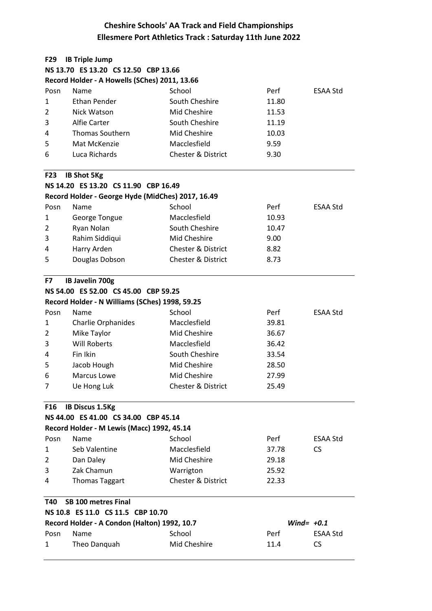| F29            | <b>IB Triple Jump</b>                             |                               |              |                 |
|----------------|---------------------------------------------------|-------------------------------|--------------|-----------------|
|                | NS 13.70 ES 13.20 CS 12.50 CBP 13.66              |                               |              |                 |
|                | Record Holder - A Howells (SChes) 2011, 13.66     |                               |              |                 |
| Posn           | Name                                              | School                        | Perf         | ESAA Std        |
| 1              | Ethan Pender                                      | South Cheshire                | 11.80        |                 |
| 2              | Nick Watson                                       | Mid Cheshire                  | 11.53        |                 |
| 3              | Alfie Carter                                      | South Cheshire                | 11.19        |                 |
| 4              | <b>Thomas Southern</b>                            | Mid Cheshire                  | 10.03        |                 |
| 5              | Mat McKenzie                                      | Macclesfield                  | 9.59         |                 |
| 6              | Luca Richards                                     | <b>Chester &amp; District</b> | 9.30         |                 |
| F23            | <b>IB Shot 5Kg</b>                                |                               |              |                 |
|                | NS 14.20 ES 13.20 CS 11.90 CBP 16.49              |                               |              |                 |
|                | Record Holder - George Hyde (MidChes) 2017, 16.49 |                               |              |                 |
| Posn           | Name                                              | School                        | Perf         | ESAA Std        |
| 1              | George Tongue                                     | Macclesfield                  | 10.93        |                 |
| $\overline{2}$ | Ryan Nolan                                        | South Cheshire                | 10.47        |                 |
| 3              | Rahim Siddiqui                                    | Mid Cheshire                  | 9.00         |                 |
| 4              | Harry Arden                                       | <b>Chester &amp; District</b> | 8.82         |                 |
| 5              | Douglas Dobson                                    | <b>Chester &amp; District</b> | 8.73         |                 |
|                |                                                   |                               |              |                 |
| F7             | IB Javelin 700g                                   |                               |              |                 |
|                | NS 54.00 ES 52.00 CS 45.00 CBP 59.25              |                               |              |                 |
|                | Record Holder - N Williams (SChes) 1998, 59.25    |                               |              |                 |
| Posn           | Name                                              | School                        | Perf         | ESAA Std        |
| 1              | Charlie Orphanides                                | Macclesfield                  | 39.81        |                 |
| 2              | Mike Taylor                                       | Mid Cheshire                  | 36.67        |                 |
| 3              | <b>Will Roberts</b>                               | Macclesfield                  | 36.42        |                 |
| 4              | Fin Ikin                                          | South Cheshire                | 33.54        |                 |
| 5              | Jacob Hough                                       | Mid Cheshire                  | 28.50        |                 |
| 6              | Marcus Lowe                                       | Mid Cheshire                  | 27.99        |                 |
| 7              | Ue Hong Luk                                       | <b>Chester &amp; District</b> | 25.49        |                 |
| <b>F16</b>     | <b>IB Discus 1.5Kg</b>                            |                               |              |                 |
|                | NS 44.00 ES 41.00 CS 34.00 CBP 45.14              |                               |              |                 |
|                | Record Holder - M Lewis (Macc) 1992, 45.14        |                               |              |                 |
| Posn           | Name                                              | School                        | Perf         | ESAA Std        |
| 1              | Seb Valentine                                     | Macclesfield                  | 37.78        | <b>CS</b>       |
| 2              | Dan Daley                                         | Mid Cheshire                  | 29.18        |                 |
| 3              | Zak Chamun                                        | Warrigton                     | 25.92        |                 |
| 4              | <b>Thomas Taggart</b>                             | Chester & District            | 22.33        |                 |
| T40            | SB 100 metres Final                               |                               |              |                 |
|                | NS 10.8 ES 11.0 CS 11.5 CBP 10.70                 |                               |              |                 |
|                | Record Holder - A Condon (Halton) 1992, 10.7      |                               | Wind= $+0.1$ |                 |
| Posn           | Name                                              | School                        | Perf         | <b>ESAA Std</b> |
| 1              | Theo Danquah                                      | Mid Cheshire                  | 11.4         | <b>CS</b>       |
|                |                                                   |                               |              |                 |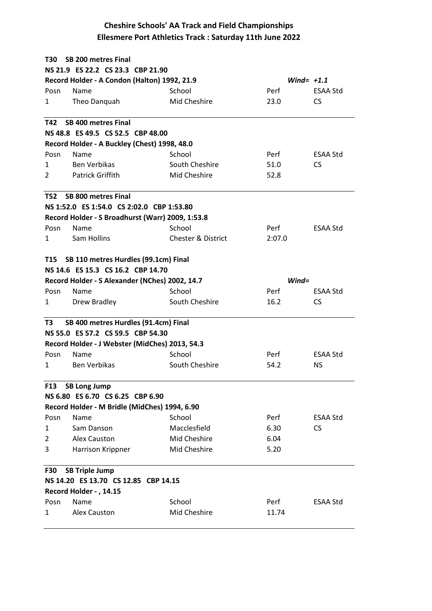| T30            | <b>SB 200 metres Final</b>                       |                               |              |                 |  |
|----------------|--------------------------------------------------|-------------------------------|--------------|-----------------|--|
|                | NS 21.9 ES 22.2 CS 23.3 CBP 21.90                |                               |              |                 |  |
|                | Record Holder - A Condon (Halton) 1992, 21.9     |                               | Wind= $+1.1$ |                 |  |
| Posn           | Name                                             | School                        | Perf         | <b>ESAA Std</b> |  |
| 1              | Theo Danquah                                     | Mid Cheshire                  | 23.0         | <b>CS</b>       |  |
| T42            | <b>SB 400 metres Final</b>                       |                               |              |                 |  |
|                | NS 48.8 ES 49.5 CS 52.5 CBP 48.00                |                               |              |                 |  |
|                | Record Holder - A Buckley (Chest) 1998, 48.0     |                               |              |                 |  |
| Posn           | Name                                             | School                        | Perf         | <b>ESAA Std</b> |  |
| 1              | <b>Ben Verbikas</b>                              | South Cheshire                | 51.0         | CS.             |  |
| $\mathcal{P}$  | Patrick Griffith                                 | Mid Cheshire                  | 52.8         |                 |  |
| T52            | <b>SB 800 metres Final</b>                       |                               |              |                 |  |
|                | NS 1:52.0 ES 1:54.0 CS 2:02.0 CBP 1:53.80        |                               |              |                 |  |
|                | Record Holder - S Broadhurst (Warr) 2009, 1:53.8 |                               |              |                 |  |
| Posn           | Name                                             | School                        | Perf         | ESAA Std        |  |
| 1              | Sam Hollins                                      | <b>Chester &amp; District</b> | 2:07.0       |                 |  |
|                | T15 SB 110 metres Hurdles (99.1cm) Final         |                               |              |                 |  |
|                | NS 14.6 ES 15.3 CS 16.2 CBP 14.70                |                               |              |                 |  |
|                | Record Holder - S Alexander (NChes) 2002, 14.7   |                               | $Wind =$     |                 |  |
| Posn           | Name                                             | School                        | Perf         | <b>ESAA Std</b> |  |
| 1              | Drew Bradley                                     | South Cheshire                | 16.2         | CS.             |  |
| T3             | SB 400 metres Hurdles (91.4cm) Final             |                               |              |                 |  |
|                | NS 55.0 ES 57.2 CS 59.5 CBP 54.30                |                               |              |                 |  |
|                | Record Holder - J Webster (MidChes) 2013, 54.3   |                               |              |                 |  |
| Posn           | Name                                             | School                        | Perf         | <b>ESAA Std</b> |  |
| 1              | <b>Ben Verbikas</b>                              | South Cheshire                | 54.2         | NS.             |  |
| F13            | <b>SB Long Jump</b>                              |                               |              |                 |  |
|                | NS 6.80 ES 6.70 CS 6.25 CBP 6.90                 |                               |              |                 |  |
|                | Record Holder - M Bridle (MidChes) 1994, 6.90    |                               |              |                 |  |
| Posn           | Name                                             | School                        | Perf         | <b>ESAA Std</b> |  |
| 1              | Sam Danson                                       | Macclesfield                  | 6.30         | <b>CS</b>       |  |
| $\overline{2}$ | Alex Causton                                     | Mid Cheshire                  | 6.04         |                 |  |
| 3              | Harrison Krippner                                | Mid Cheshire                  | 5.20         |                 |  |
| <b>F30</b>     | <b>SB Triple Jump</b>                            |                               |              |                 |  |
|                | NS 14.20 ES 13.70 CS 12.85 CBP 14.15             |                               |              |                 |  |
|                | Record Holder - , 14.15                          |                               |              |                 |  |
| Posn           | Name                                             | School                        | Perf         | ESAA Std        |  |
| 1              | Alex Causton                                     | Mid Cheshire                  | 11.74        |                 |  |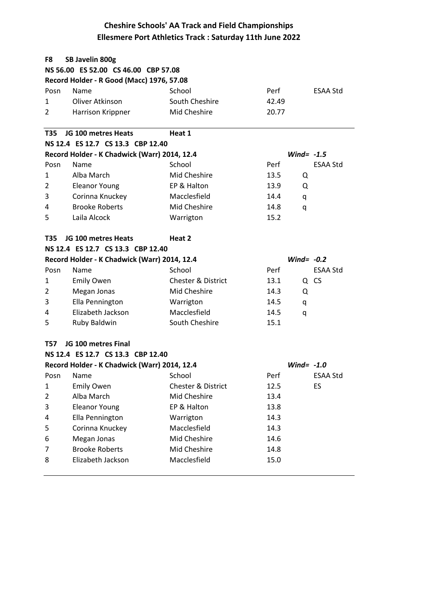| F8             | SB Javelin 800g                              |                               |       |                 |  |  |
|----------------|----------------------------------------------|-------------------------------|-------|-----------------|--|--|
|                | NS 56.00 ES 52.00 CS 46.00 CBP 57.08         |                               |       |                 |  |  |
|                | Record Holder - R Good (Macc) 1976, 57.08    |                               |       |                 |  |  |
| Posn           | Name                                         | School                        | Perf  | <b>ESAA Std</b> |  |  |
| 1              | Oliver Atkinson                              | South Cheshire                | 42.49 |                 |  |  |
| 2              | Harrison Krippner                            | Mid Cheshire                  | 20.77 |                 |  |  |
| <b>T35</b>     | JG 100 metres Heats                          | Heat 1                        |       |                 |  |  |
|                | NS 12.4 ES 12.7 CS 13.3 CBP 12.40            |                               |       |                 |  |  |
|                | Record Holder - K Chadwick (Warr) 2014, 12.4 |                               |       | Wind= $-1.5$    |  |  |
| Posn           | Name                                         | School                        | Perf  | <b>ESAA Std</b> |  |  |
| 1              | Alba March                                   | Mid Cheshire                  | 13.5  | Q               |  |  |
| 2              | <b>Eleanor Young</b>                         | EP & Halton                   | 13.9  | Q               |  |  |
| 3              | Corinna Knuckey                              | Macclesfield                  | 14.4  | q               |  |  |
| 4              | <b>Brooke Roberts</b>                        | Mid Cheshire                  | 14.8  | q               |  |  |
| 5              | Laila Alcock                                 | Warrigton                     | 15.2  |                 |  |  |
| T35            | JG 100 metres Heats                          | Heat 2                        |       |                 |  |  |
|                | NS 12.4 ES 12.7 CS 13.3 CBP 12.40            |                               |       |                 |  |  |
|                | Record Holder - K Chadwick (Warr) 2014, 12.4 |                               |       | Wind= $-0.2$    |  |  |
| Posn           | Name                                         | School                        | Perf  | <b>ESAA Std</b> |  |  |
| 1              | <b>Emily Owen</b>                            | <b>Chester &amp; District</b> | 13.1  | Q CS            |  |  |
| 2              | Megan Jonas                                  | Mid Cheshire                  | 14.3  | Q               |  |  |
| 3              | Ella Pennington                              | Warrigton                     | 14.5  | q               |  |  |
| 4              | Elizabeth Jackson                            | Macclesfield                  | 14.5  | q               |  |  |
| 5              | Ruby Baldwin                                 | South Cheshire                | 15.1  |                 |  |  |
| T57            | JG 100 metres Final                          |                               |       |                 |  |  |
|                | NS 12.4 ES 12.7 CS 13.3 CBP 12.40            |                               |       |                 |  |  |
|                | Record Holder - K Chadwick (Warr) 2014, 12.4 |                               |       | Wind= $-1.0$    |  |  |
| Posn           | Name                                         | School                        | Perf  | <b>ESAA Std</b> |  |  |
| $\mathbf{1}$   | <b>Emily Owen</b>                            | <b>Chester &amp; District</b> | 12.5  | ES              |  |  |
| $\overline{2}$ | Alba March                                   | Mid Cheshire                  | 13.4  |                 |  |  |
| 3              | <b>Eleanor Young</b>                         | EP & Halton                   | 13.8  |                 |  |  |
| 4              | Ella Pennington                              | Warrigton                     | 14.3  |                 |  |  |
| 5              | Corinna Knuckey                              | Macclesfield                  | 14.3  |                 |  |  |
| 6              | Megan Jonas                                  | Mid Cheshire                  | 14.6  |                 |  |  |
| 7              | <b>Brooke Roberts</b>                        | Mid Cheshire                  | 14.8  |                 |  |  |
| 8              | Elizabeth Jackson                            | Macclesfield                  | 15.0  |                 |  |  |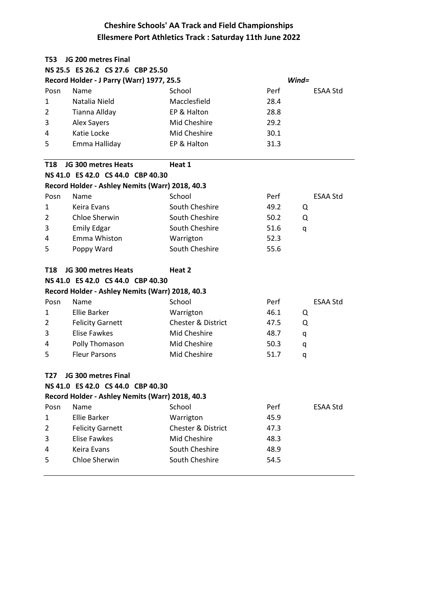| T53            | JG 200 metres Final                             |                               |      |                 |
|----------------|-------------------------------------------------|-------------------------------|------|-----------------|
|                | NS 25.5 ES 26.2 CS 27.6 CBP 25.50               |                               |      |                 |
|                | Record Holder - J Parry (Warr) 1977, 25.5       |                               |      | $Wind =$        |
| Posn           | Name                                            | School                        | Perf | ESAA Std        |
| 1              | Natalia Nield                                   | Macclesfield                  | 28.4 |                 |
| $\overline{2}$ | <b>Tianna Allday</b>                            | EP & Halton                   | 28.8 |                 |
| 3              | <b>Alex Sayers</b>                              | Mid Cheshire                  | 29.2 |                 |
| 4              | Katie Locke                                     | Mid Cheshire                  | 30.1 |                 |
| 5              | Emma Halliday                                   | EP & Halton                   | 31.3 |                 |
| <b>T18</b>     | JG 300 metres Heats                             | Heat 1                        |      |                 |
|                | NS 41.0 ES 42.0 CS 44.0 CBP 40.30               |                               |      |                 |
|                | Record Holder - Ashley Nemits (Warr) 2018, 40.3 |                               |      |                 |
| Posn           | Name                                            | School                        | Perf | <b>ESAA Std</b> |
| 1              | Keira Evans                                     | South Cheshire                | 49.2 | Q               |
| $\overline{2}$ | Chloe Sherwin                                   | South Cheshire                | 50.2 | Q               |
| 3              | <b>Emily Edgar</b>                              | South Cheshire                | 51.6 | q               |
| 4              | Emma Whiston                                    | Warrigton                     | 52.3 |                 |
| 5              | Poppy Ward                                      | South Cheshire                | 55.6 |                 |
| T18            | JG 300 metres Heats                             | Heat 2                        |      |                 |
|                | NS 41.0 ES 42.0 CS 44.0 CBP 40.30               |                               |      |                 |
|                | Record Holder - Ashley Nemits (Warr) 2018, 40.3 |                               |      |                 |
| Posn           | Name                                            | School                        | Perf | ESAA Std        |
| 1              | Ellie Barker                                    | Warrigton                     | 46.1 | Q               |
| 2              | <b>Felicity Garnett</b>                         | <b>Chester &amp; District</b> | 47.5 | Q               |
| 3              | <b>Elise Fawkes</b>                             | Mid Cheshire                  | 48.7 | q               |
| 4              | Polly Thomason                                  | Mid Cheshire                  | 50.3 | q               |
| 5              | <b>Fleur Parsons</b>                            | Mid Cheshire                  | 51.7 | q               |
| T27            | JG 300 metres Final                             |                               |      |                 |
|                | NS 41.0 ES 42.0 CS 44.0 CBP 40.30               |                               |      |                 |
|                | Record Holder - Ashley Nemits (Warr) 2018, 40.3 |                               |      |                 |
| Posn           | Name                                            | School                        | Perf | ESAA Std        |
| 1              | <b>Ellie Barker</b>                             | Warrigton                     | 45.9 |                 |
| $\overline{2}$ | <b>Felicity Garnett</b>                         | Chester & District            | 47.3 |                 |
| 3              | <b>Elise Fawkes</b>                             | Mid Cheshire                  | 48.3 |                 |
| 4              | Keira Evans                                     | South Cheshire                | 48.9 |                 |
| 5              | Chloe Sherwin                                   | South Cheshire                | 54.5 |                 |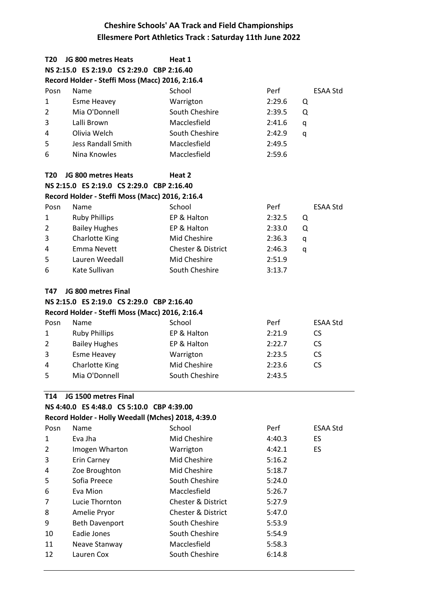| T20            | JG 800 metres Heats                                | Heat 1                        |             |                 |
|----------------|----------------------------------------------------|-------------------------------|-------------|-----------------|
|                | NS 2:15.0 ES 2:19.0 CS 2:29.0 CBP 2:16.40          |                               |             |                 |
|                | Record Holder - Steffi Moss (Macc) 2016, 2:16.4    |                               |             |                 |
| Posn           | Name                                               | School                        | Perf        | <b>ESAA Std</b> |
| $\mathbf{1}$   | <b>Esme Heavey</b>                                 | Warrigton                     | 2:29.6<br>Q |                 |
| 2              | Mia O'Donnell                                      | South Cheshire                | 2:39.5<br>Q |                 |
| 3              | Lalli Brown                                        | Macclesfield                  | 2:41.6<br>q |                 |
| 4              | Olivia Welch                                       | South Cheshire                | 2:42.9<br>q |                 |
| 5              | <b>Jess Randall Smith</b>                          | Macclesfield                  | 2:49.5      |                 |
| 6              | Nina Knowles                                       | Macclesfield                  | 2:59.6      |                 |
| T20            | JG 800 metres Heats                                | Heat 2                        |             |                 |
|                | NS 2:15.0 ES 2:19.0 CS 2:29.0 CBP 2:16.40          |                               |             |                 |
|                | Record Holder - Steffi Moss (Macc) 2016, 2:16.4    |                               |             |                 |
| Posn           | Name                                               | School                        | Perf        | <b>ESAA Std</b> |
| 1              | <b>Ruby Phillips</b>                               | EP & Halton                   | 2:32.5<br>Q |                 |
| $\overline{2}$ | <b>Bailey Hughes</b>                               | EP & Halton                   | 2:33.0<br>Q |                 |
| 3              | <b>Charlotte King</b>                              | Mid Cheshire                  | 2:36.3<br>q |                 |
| 4              | <b>Emma Nevett</b>                                 | <b>Chester &amp; District</b> | 2:46.3<br>q |                 |
| 5              | Lauren Weedall                                     | Mid Cheshire                  | 2:51.9      |                 |
| 6              | Kate Sullivan                                      | South Cheshire                | 3:13.7      |                 |
| T47            | JG 800 metres Final                                |                               |             |                 |
|                | NS 2:15.0 ES 2:19.0 CS 2:29.0 CBP 2:16.40          |                               |             |                 |
|                | Record Holder - Steffi Moss (Macc) 2016, 2:16.4    |                               |             |                 |
| Posn           | Name                                               | School                        | Perf        | <b>ESAA Std</b> |
| $\mathbf{1}$   | <b>Ruby Phillips</b>                               | EP & Halton                   | 2:21.9      | <b>CS</b>       |
| $\overline{2}$ | <b>Bailey Hughes</b>                               | EP & Halton                   | 2:22.7      | <b>CS</b>       |
| 3              | <b>Esme Heavey</b>                                 | Warrigton                     | 2:23.5      | <b>CS</b>       |
| 4              | <b>Charlotte King</b>                              | Mid Cheshire                  | 2:23.6      | <b>CS</b>       |
| 5              | Mia O'Donnell                                      | South Cheshire                | 2:43.5      |                 |
| T14            | JG 1500 metres Final                               |                               |             |                 |
|                | NS 4:40.0 ES 4:48.0 CS 5:10.0 CBP 4:39.00          |                               |             |                 |
|                | Record Holder - Holly Weedall (Mches) 2018, 4:39.0 |                               |             |                 |
| Posn           | Name                                               | School                        | Perf        | ESAA Std        |
| 1              | Eva Jha                                            | Mid Cheshire                  | 4:40.3      | ES              |
| 2              | Imogen Wharton                                     | Warrigton                     | 4:42.1      | ES              |
| 3              | Erin Carney                                        | Mid Cheshire                  | 5:16.2      |                 |
| 4              | Zoe Broughton                                      | Mid Cheshire                  | 5:18.7      |                 |
| 5              | Sofia Preece                                       | South Cheshire                | 5:24.0      |                 |
| 6              | Eva Mion                                           | Macclesfield                  | 5:26.7      |                 |
| 7              | Lucie Thornton                                     | <b>Chester &amp; District</b> | 5:27.9      |                 |
| 8              | Amelie Pryor                                       | <b>Chester &amp; District</b> | 5:47.0      |                 |
| 9              | <b>Beth Davenport</b>                              | South Cheshire                | 5:53.9      |                 |
| 10             | Eadie Jones                                        | South Cheshire                | 5:54.9      |                 |
| 11             | Neave Stanway                                      | Macclesfield                  | 5:58.3      |                 |
| 12             | Lauren Cox                                         | South Cheshire                | 6:14.8      |                 |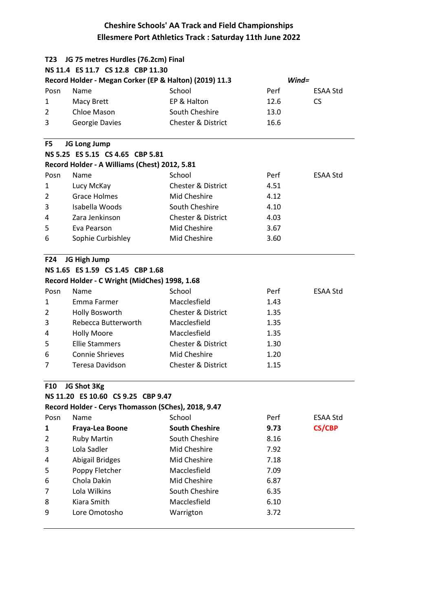| T23                              | JG 75 metres Hurdles (76.2cm) Final                    |                               |          |                 |  |  |  |
|----------------------------------|--------------------------------------------------------|-------------------------------|----------|-----------------|--|--|--|
|                                  | NS 11.4 ES 11.7 CS 12.8 CBP 11.30                      |                               |          |                 |  |  |  |
|                                  | Record Holder - Megan Corker (EP & Halton) (2019) 11.3 |                               | $Wind =$ |                 |  |  |  |
| Posn                             | Name                                                   | School                        | Perf     | ESAA Std        |  |  |  |
| 1                                | Macy Brett                                             | EP & Halton                   | 12.6     | <b>CS</b>       |  |  |  |
| $\overline{2}$                   | Chloe Mason                                            | South Cheshire                | 13.0     |                 |  |  |  |
| 3                                | Georgie Davies                                         | <b>Chester &amp; District</b> | 16.6     |                 |  |  |  |
| F5                               | JG Long Jump                                           |                               |          |                 |  |  |  |
|                                  | NS 5.25 ES 5.15 CS 4.65 CBP 5.81                       |                               |          |                 |  |  |  |
|                                  | Record Holder - A Williams (Chest) 2012, 5.81          |                               |          |                 |  |  |  |
| Posn                             | Name                                                   | School                        | Perf     | <b>ESAA Std</b> |  |  |  |
| 1                                | Lucy McKay                                             | <b>Chester &amp; District</b> | 4.51     |                 |  |  |  |
| 2                                | <b>Grace Holmes</b>                                    | Mid Cheshire                  | 4.12     |                 |  |  |  |
| 3                                | Isabella Woods                                         | South Cheshire                | 4.10     |                 |  |  |  |
| 4                                | Zara Jenkinson                                         | <b>Chester &amp; District</b> | 4.03     |                 |  |  |  |
| 5                                | Eva Pearson                                            | Mid Cheshire                  | 3.67     |                 |  |  |  |
| 6                                | Sophie Curbishley                                      | Mid Cheshire                  | 3.60     |                 |  |  |  |
| F <sub>24</sub>                  | JG High Jump                                           |                               |          |                 |  |  |  |
| NS 1.65 ES 1.59 CS 1.45 CBP 1.68 |                                                        |                               |          |                 |  |  |  |
|                                  | Record Holder - C Wright (MidChes) 1998, 1.68          |                               |          |                 |  |  |  |
| Posn                             | Name                                                   | School                        | Perf     | <b>ESAA Std</b> |  |  |  |
| 1                                | Emma Farmer                                            | Macclesfield                  | 1.43     |                 |  |  |  |
| 2                                | Holly Bosworth                                         | <b>Chester &amp; District</b> | 1.35     |                 |  |  |  |
| 3                                | Rebecca Butterworth                                    | Macclesfield                  | 1.35     |                 |  |  |  |
| 4                                | <b>Holly Moore</b>                                     | Macclesfield                  | 1.35     |                 |  |  |  |
| 5                                | <b>Ellie Stammers</b>                                  | <b>Chester &amp; District</b> | 1.30     |                 |  |  |  |
| 6                                | <b>Connie Shrieves</b>                                 | Mid Cheshire                  | 1.20     |                 |  |  |  |
| 7                                | Teresa Davidson                                        | <b>Chester &amp; District</b> | 1.15     |                 |  |  |  |
| <b>F10</b>                       | JG Shot 3Kg                                            |                               |          |                 |  |  |  |
|                                  | NS 11.20 ES 10.60 CS 9.25 CBP 9.47                     |                               |          |                 |  |  |  |
|                                  | Record Holder - Cerys Thomasson (SChes), 2018, 9.47    |                               |          |                 |  |  |  |
| Posn                             | Name                                                   | School                        | Perf     | ESAA Std        |  |  |  |
| 1                                | Fraya-Lea Boone                                        | <b>South Cheshire</b>         | 9.73     | <b>CS/CBP</b>   |  |  |  |
| 2                                | <b>Ruby Martin</b>                                     | South Cheshire                | 8.16     |                 |  |  |  |
| 3                                | Lola Sadler                                            | Mid Cheshire                  | 7.92     |                 |  |  |  |
| 4                                | Abigail Bridges                                        | Mid Cheshire                  | 7.18     |                 |  |  |  |
| 5                                | Poppy Fletcher                                         | Macclesfield                  | 7.09     |                 |  |  |  |
| 6                                | Chola Dakin                                            | Mid Cheshire                  | 6.87     |                 |  |  |  |
| 7                                | Lola Wilkins                                           | South Cheshire                | 6.35     |                 |  |  |  |
| 8                                | Kiara Smith                                            | Macclesfield                  | 6.10     |                 |  |  |  |
| 9                                | Lore Omotosho                                          | Warrigton                     | 3.72     |                 |  |  |  |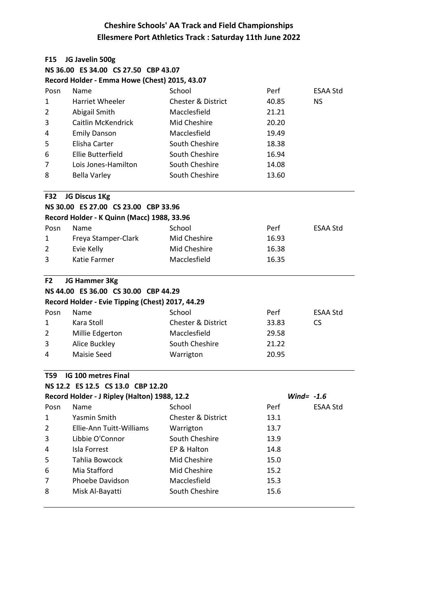| <b>F15</b>     | JG Javelin 500g                                  |                               |              |                 |  |
|----------------|--------------------------------------------------|-------------------------------|--------------|-----------------|--|
|                | NS 36.00 ES 34.00 CS 27.50 CBP 43.07             |                               |              |                 |  |
|                | Record Holder - Emma Howe (Chest) 2015, 43.07    |                               |              |                 |  |
| Posn           | Name                                             | School                        | Perf         | ESAA Std        |  |
| $\mathbf{1}$   | Harriet Wheeler                                  | <b>Chester &amp; District</b> | 40.85        | <b>NS</b>       |  |
| 2              | Abigail Smith                                    | Macclesfield                  | 21.21        |                 |  |
| 3              | Caitlin McKendrick                               | Mid Cheshire                  | 20.20        |                 |  |
| 4              | <b>Emily Danson</b>                              | Macclesfield                  | 19.49        |                 |  |
| 5              | Elisha Carter                                    | South Cheshire                | 18.38        |                 |  |
| 6              | Ellie Butterfield                                | South Cheshire                | 16.94        |                 |  |
| 7              | Lois Jones-Hamilton                              | South Cheshire                | 14.08        |                 |  |
| 8              | <b>Bella Varley</b>                              | South Cheshire                | 13.60        |                 |  |
| <b>F32</b>     | JG Discus 1Kg                                    |                               |              |                 |  |
|                | NS 30.00 ES 27.00 CS 23.00 CBP 33.96             |                               |              |                 |  |
|                | Record Holder - K Quinn (Macc) 1988, 33.96       |                               |              |                 |  |
| Posn           | Name                                             | School                        | Perf         | <b>ESAA Std</b> |  |
| 1              | Freya Stamper-Clark                              | Mid Cheshire                  | 16.93        |                 |  |
| 2              | Evie Kelly                                       | Mid Cheshire                  | 16.38        |                 |  |
| 3              | Katie Farmer                                     | Macclesfield                  | 16.35        |                 |  |
| F <sub>2</sub> | JG Hammer 3Kg                                    |                               |              |                 |  |
|                | NS 44.00 ES 36.00 CS 30.00 CBP 44.29             |                               |              |                 |  |
|                | Record Holder - Evie Tipping (Chest) 2017, 44.29 |                               |              |                 |  |
| Posn           | Name                                             | School                        | Perf         | <b>ESAA Std</b> |  |
| 1              | Kara Stoll                                       | <b>Chester &amp; District</b> | 33.83        | <b>CS</b>       |  |
| 2              | Millie Edgerton                                  | Macclesfield                  | 29.58        |                 |  |
| 3              | Alice Buckley                                    | South Cheshire                | 21.22        |                 |  |
| 4              | <b>Maisie Seed</b>                               | Warrigton                     | 20.95        |                 |  |
| T59            | IG 100 metres Final                              |                               |              |                 |  |
|                | NS 12.2 ES 12.5 CS 13.0 CBP 12.20                |                               |              |                 |  |
|                | Record Holder - J Ripley (Halton) 1988, 12.2     |                               | Wind= $-1.6$ |                 |  |
| Posn           | Name                                             | School                        | Perf         | <b>ESAA Std</b> |  |
| 1              | Yasmin Smith                                     | <b>Chester &amp; District</b> | 13.1         |                 |  |
| 2              | Ellie-Ann Tuitt-Williams                         | Warrigton                     | 13.7         |                 |  |
| 3              | Libbie O'Connor                                  | South Cheshire                | 13.9         |                 |  |
| 4              | Isla Forrest                                     | EP & Halton                   | 14.8         |                 |  |
| 5              | Tahlia Bowcock                                   | Mid Cheshire                  | 15.0         |                 |  |
| 6              | Mia Stafford                                     | Mid Cheshire                  | 15.2         |                 |  |
| 7              | Phoebe Davidson                                  | Macclesfield                  | 15.3         |                 |  |
| 8              | Misk Al-Bayatti                                  | South Cheshire                | 15.6         |                 |  |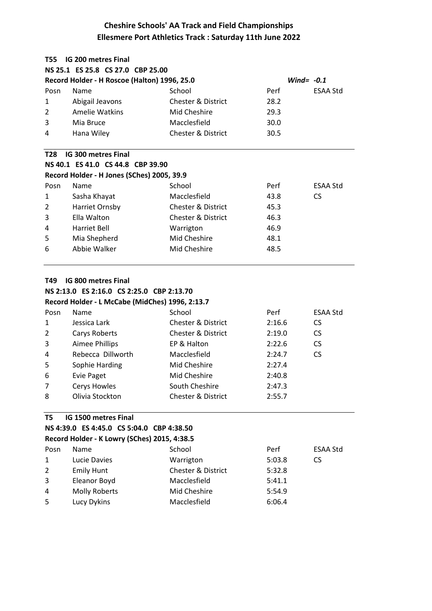| <b>IG 200 metres Final</b><br>T <sub>55</sub> |                                                              |                               |        |                 |  |  |  |  |
|-----------------------------------------------|--------------------------------------------------------------|-------------------------------|--------|-----------------|--|--|--|--|
|                                               | NS 25.1 ES 25.8 CS 27.0 CBP 25.00                            |                               |        |                 |  |  |  |  |
|                                               | Record Holder - H Roscoe (Halton) 1996, 25.0<br>Wind= $-0.1$ |                               |        |                 |  |  |  |  |
| Posn                                          | Name                                                         | School                        | Perf   | <b>ESAA Std</b> |  |  |  |  |
| 1                                             | Abigail Jeavons                                              | <b>Chester &amp; District</b> | 28.2   |                 |  |  |  |  |
| $\overline{2}$                                | Amelie Watkins                                               | Mid Cheshire                  | 29.3   |                 |  |  |  |  |
| 3                                             | Mia Bruce                                                    | Macclesfield                  | 30.0   |                 |  |  |  |  |
| 4                                             | Hana Wiley                                                   | <b>Chester &amp; District</b> | 30.5   |                 |  |  |  |  |
| T <sub>28</sub>                               | <b>IG 300 metres Final</b>                                   |                               |        |                 |  |  |  |  |
|                                               | NS 40.1 ES 41.0 CS 44.8 CBP 39.90                            |                               |        |                 |  |  |  |  |
|                                               | Record Holder - H Jones (SChes) 2005, 39.9                   |                               |        |                 |  |  |  |  |
| Posn                                          | Name                                                         | School                        | Perf   | <b>ESAA Std</b> |  |  |  |  |
| 1                                             | Sasha Khayat                                                 | Macclesfield                  | 43.8   | <b>CS</b>       |  |  |  |  |
| $\overline{2}$                                | Harriet Ornsby                                               | <b>Chester &amp; District</b> | 45.3   |                 |  |  |  |  |
| 3                                             | Ella Walton                                                  | <b>Chester &amp; District</b> | 46.3   |                 |  |  |  |  |
| 4                                             | <b>Harriet Bell</b>                                          | Warrigton                     | 46.9   |                 |  |  |  |  |
| 5                                             | Mia Shepherd                                                 | Mid Cheshire                  | 48.1   |                 |  |  |  |  |
| 6                                             | Abbie Walker                                                 | Mid Cheshire                  | 48.5   |                 |  |  |  |  |
| <b>IG 800 metres Final</b><br>T49             |                                                              |                               |        |                 |  |  |  |  |
|                                               | NS 2:13.0 ES 2:16.0 CS 2:25.0 CBP 2:13.70                    |                               |        |                 |  |  |  |  |
|                                               | Record Holder - L McCabe (MidChes) 1996, 2:13.7              |                               |        |                 |  |  |  |  |
| Posn                                          | Name                                                         | School                        | Perf   | <b>ESAA Std</b> |  |  |  |  |
| 1                                             | Jessica Lark                                                 | <b>Chester &amp; District</b> | 2:16.6 | <b>CS</b>       |  |  |  |  |
| $\overline{2}$                                | Carys Roberts                                                | <b>Chester &amp; District</b> | 2:19.0 | <b>CS</b>       |  |  |  |  |

| 3  | Aimee Phillips    | EP & Halton                   | 2:22.6 |    |
|----|-------------------|-------------------------------|--------|----|
| 4  | Rebecca Dillworth | Macclesfield                  | 2:24.7 | CS |
| -5 | Sophie Harding    | Mid Cheshire                  | 2:27.4 |    |
| -6 | Evie Paget        | Mid Cheshire                  | 2:40.8 |    |
| 7  | Cerys Howles      | South Cheshire                | 2:47.3 |    |
| 8  | Olivia Stockton   | <b>Chester &amp; District</b> | 2:55.7 |    |

#### **T5 IG 1500 metres Final**

```
NS 4:39.0 ES 4:45.0 CS 5:04.0 CBP 4:38.50
```

|              | סכוטנוד וטט טודטונ טט טונדוד כם טוננטוד כוו  |                               |        |                 |  |  |
|--------------|----------------------------------------------|-------------------------------|--------|-----------------|--|--|
|              | Record Holder - K Lowry (SChes) 2015, 4:38.5 |                               |        |                 |  |  |
| Posn         | Name                                         | School                        | Perf   | <b>ESAA Std</b> |  |  |
| $\mathbf{1}$ | Lucie Davies                                 | Warrigton                     | 5:03.8 | CS              |  |  |
| $2^{\circ}$  | <b>Emily Hunt</b>                            | <b>Chester &amp; District</b> | 5:32.8 |                 |  |  |
| 3            | Eleanor Boyd                                 | Macclesfield                  | 5:41.1 |                 |  |  |
| 4            | Molly Roberts                                | Mid Cheshire                  | 5:54.9 |                 |  |  |
| 5            | Lucy Dykins                                  | Macclesfield                  | 6:06.4 |                 |  |  |
|              |                                              |                               |        |                 |  |  |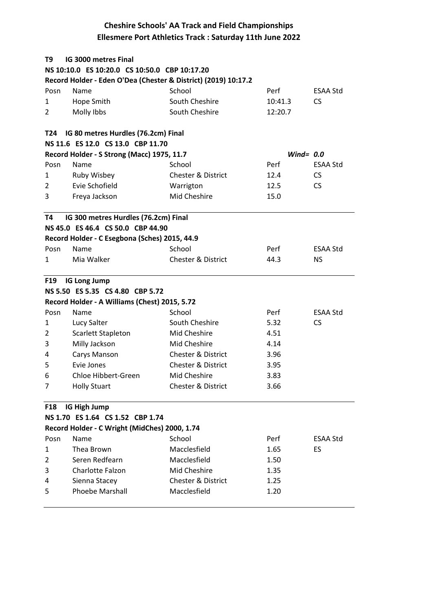| T <sub>9</sub>  | IG 3000 metres Final                                           |                                               |              |                 |
|-----------------|----------------------------------------------------------------|-----------------------------------------------|--------------|-----------------|
|                 | NS 10:10.0 ES 10:20.0 CS 10:50.0 CBP 10:17.20                  |                                               |              |                 |
|                 | Record Holder - Eden O'Dea (Chester & District) (2019) 10:17.2 |                                               |              |                 |
| Posn            | Name                                                           | School                                        | Perf         | <b>ESAA Std</b> |
| 1               | Hope Smith                                                     | South Cheshire                                | 10:41.3      | <b>CS</b>       |
| $\overline{2}$  | Molly Ibbs                                                     | South Cheshire                                | 12:20.7      |                 |
|                 |                                                                |                                               |              |                 |
| T24             | IG 80 metres Hurdles (76.2cm) Final                            |                                               |              |                 |
|                 | NS 11.6 ES 12.0 CS 13.0 CBP 11.70                              |                                               |              |                 |
|                 | Record Holder - S Strong (Macc) 1975, 11.7                     |                                               | Wind= $0.0$  |                 |
| Posn            | Name                                                           | School                                        | Perf         | ESAA Std        |
| 1               | Ruby Wisbey                                                    | <b>Chester &amp; District</b>                 | 12.4         | CS.             |
| 2               | Evie Schofield                                                 | Warrigton                                     | 12.5         | <b>CS</b>       |
| 3               | Freya Jackson                                                  | <b>Mid Cheshire</b>                           | 15.0         |                 |
| T4              | IG 300 metres Hurdles (76.2cm) Final                           |                                               |              |                 |
|                 | NS 45.0 ES 46.4 CS 50.0 CBP 44.90                              |                                               |              |                 |
|                 | Record Holder - C Esegbona (Sches) 2015, 44.9                  |                                               |              |                 |
| Posn            | Name                                                           | School                                        | Perf         | <b>ESAA Std</b> |
| 1               | Mia Walker                                                     | <b>Chester &amp; District</b>                 | 44.3         | <b>NS</b>       |
|                 |                                                                |                                               |              |                 |
| F <sub>19</sub> | <b>IG Long Jump</b>                                            |                                               |              |                 |
|                 | NS 5.50 ES 5.35 CS 4.80 CBP 5.72                               |                                               |              |                 |
|                 | Record Holder - A Williams (Chest) 2015, 5.72                  |                                               |              |                 |
| Posn            | Name                                                           | School                                        | Perf         | <b>ESAA Std</b> |
| 1               | Lucy Salter                                                    | South Cheshire                                | 5.32         | <b>CS</b>       |
| 2               | <b>Scarlett Stapleton</b>                                      | Mid Cheshire                                  | 4.51         |                 |
| 3               | Milly Jackson                                                  | Mid Cheshire                                  | 4.14         |                 |
| 4               | Carys Manson                                                   | <b>Chester &amp; District</b>                 | 3.96         |                 |
| 5               | Evie Jones                                                     | <b>Chester &amp; District</b>                 | 3.95         |                 |
| 6               | Chloe Hibbert-Green                                            | Mid Cheshire                                  | 3.83         |                 |
| 7               | <b>Holly Stuart</b>                                            | <b>Chester &amp; District</b>                 | 3.66         |                 |
| <b>F18</b>      | IG High Jump                                                   |                                               |              |                 |
|                 | NS 1.70 ES 1.64 CS 1.52 CBP 1.74                               |                                               |              |                 |
|                 | Record Holder - C Wright (MidChes) 2000, 1.74                  |                                               |              |                 |
| Posn            | Name                                                           | School                                        | Perf         | ESAA Std        |
| $\mathbf{1}$    | Thea Brown                                                     | Macclesfield                                  | 1.65         | <b>ES</b>       |
| 2               | Seren Redfearn                                                 | Macclesfield                                  | 1.50         |                 |
| 3               |                                                                |                                               |              |                 |
|                 | Charlotte Falzon                                               |                                               |              |                 |
| 4               |                                                                | Mid Cheshire                                  | 1.35         |                 |
| 5               | Sienna Stacey<br><b>Phoebe Marshall</b>                        | <b>Chester &amp; District</b><br>Macclesfield | 1.25<br>1.20 |                 |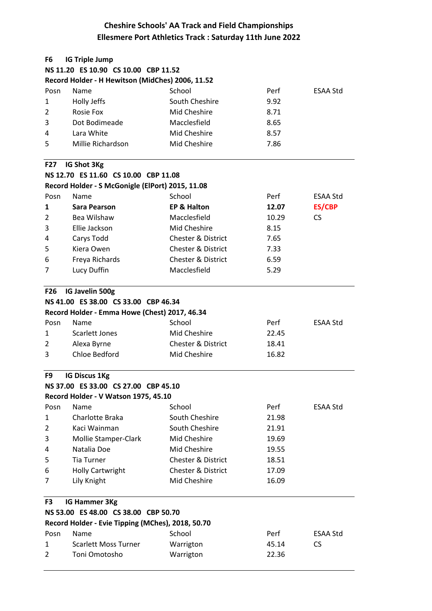| F6                  | <b>IG Triple Jump</b>                             |                               |       |                 |  |
|---------------------|---------------------------------------------------|-------------------------------|-------|-----------------|--|
|                     | NS 11.20 ES 10.90 CS 10.00 CBP 11.52              |                               |       |                 |  |
|                     | Record Holder - H Hewitson (MidChes) 2006, 11.52  |                               |       |                 |  |
| Posn                | Name                                              | School                        | Perf  | ESAA Std        |  |
| 1                   | Holly Jeffs                                       | South Cheshire                | 9.92  |                 |  |
| $\overline{2}$      | <b>Rosie Fox</b>                                  | Mid Cheshire                  | 8.71  |                 |  |
| 3                   | Dot Bodimeade                                     | Macclesfield                  | 8.65  |                 |  |
| 4                   | Lara White                                        | Mid Cheshire                  | 8.57  |                 |  |
| 5                   | Millie Richardson                                 | Mid Cheshire                  | 7.86  |                 |  |
| <b>F27</b>          | IG Shot 3Kg                                       |                               |       |                 |  |
|                     | NS 12.70 ES 11.60 CS 10.00 CBP 11.08              |                               |       |                 |  |
|                     | Record Holder - S McGonigle (ElPort) 2015, 11.08  |                               |       |                 |  |
| Posn                | Name                                              | School                        | Perf  | <b>ESAA Std</b> |  |
| 1                   | Sara Pearson                                      | <b>EP &amp; Halton</b>        | 12.07 | <b>ES/CBP</b>   |  |
| 2                   | Bea Wilshaw                                       | Macclesfield                  | 10.29 | CS.             |  |
| 3                   | Ellie Jackson                                     | Mid Cheshire                  | 8.15  |                 |  |
| 4                   | Carys Todd                                        | <b>Chester &amp; District</b> | 7.65  |                 |  |
| 5                   | Kiera Owen                                        | <b>Chester &amp; District</b> | 7.33  |                 |  |
| 6                   | Freya Richards                                    | <b>Chester &amp; District</b> | 6.59  |                 |  |
| 7                   | Lucy Duffin                                       | Macclesfield                  | 5.29  |                 |  |
| F26                 | IG Javelin 500g                                   |                               |       |                 |  |
|                     | NS 41.00 ES 38.00 CS 33.00 CBP 46.34              |                               |       |                 |  |
|                     | Record Holder - Emma Howe (Chest) 2017, 46.34     |                               |       |                 |  |
| Posn                | Name                                              | School                        | Perf  | <b>ESAA Std</b> |  |
| 1                   | <b>Scarlett Jones</b>                             | Mid Cheshire                  | 22.45 |                 |  |
| 2                   | Alexa Byrne                                       | <b>Chester &amp; District</b> | 18.41 |                 |  |
| 3                   | Chloe Bedford                                     | Mid Cheshire                  | 16.82 |                 |  |
| F9                  | <b>IG Discus 1Kg</b>                              |                               |       |                 |  |
|                     | NS 37.00 ES 33.00 CS 27.00 CBP 45.10              |                               |       |                 |  |
|                     | Record Holder - V Watson 1975, 45.10              |                               |       |                 |  |
| Posn                | Name                                              | School                        | Perf  | ESAA Std        |  |
| 1                   | Charlotte Braka                                   | South Cheshire                | 21.98 |                 |  |
| 2                   | Kaci Wainman                                      | South Cheshire                | 21.91 |                 |  |
| 3                   | Mollie Stamper-Clark                              | Mid Cheshire                  | 19.69 |                 |  |
| 4                   | Natalia Doe                                       | Mid Cheshire                  | 19.55 |                 |  |
| 5                   | <b>Tia Turner</b>                                 | <b>Chester &amp; District</b> | 18.51 |                 |  |
| 6                   | <b>Holly Cartwright</b>                           | <b>Chester &amp; District</b> | 17.09 |                 |  |
| 7                   | Lily Knight                                       | Mid Cheshire                  | 16.09 |                 |  |
| IG Hammer 3Kg<br>F3 |                                                   |                               |       |                 |  |
|                     | NS 53.00 ES 48.00 CS 38.00 CBP 50.70              |                               |       |                 |  |
|                     | Record Holder - Evie Tipping (MChes), 2018, 50.70 |                               |       |                 |  |
| Posn                | Name                                              | School                        | Perf  | ESAA Std        |  |
| 1                   | <b>Scarlett Moss Turner</b>                       | Warrigton                     | 45.14 | <b>CS</b>       |  |
| 2                   | Toni Omotosho                                     | Warrigton                     | 22.36 |                 |  |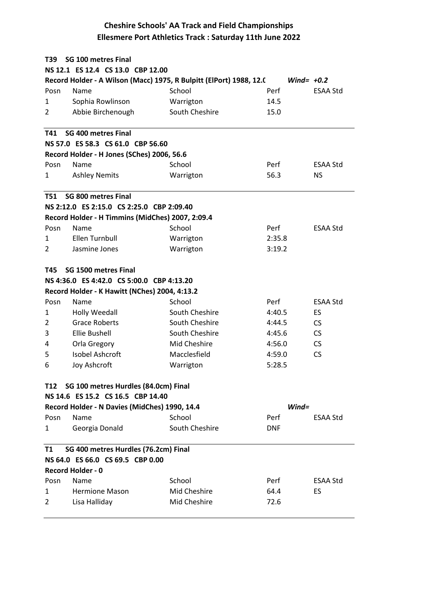| <b>SG 100 metres Final</b><br>T39                                                   |                                                  |                |            |                 |  |  |  |  |
|-------------------------------------------------------------------------------------|--------------------------------------------------|----------------|------------|-----------------|--|--|--|--|
| NS 12.1 ES 12.4 CS 13.0 CBP 12.00                                                   |                                                  |                |            |                 |  |  |  |  |
| Record Holder - A Wilson (Macc) 1975, R Bulpitt (ElPort) 1988, 12.0<br>Wind= $+0.2$ |                                                  |                |            |                 |  |  |  |  |
| Posn                                                                                | Name                                             | School         | Perf       | <b>ESAA Std</b> |  |  |  |  |
| 1                                                                                   | Sophia Rowlinson                                 | Warrigton      | 14.5       |                 |  |  |  |  |
| 2                                                                                   | Abbie Birchenough                                | South Cheshire | 15.0       |                 |  |  |  |  |
| T41                                                                                 | SG 400 metres Final                              |                |            |                 |  |  |  |  |
| NS 57.0 ES 58.3 CS 61.0 CBP 56.60                                                   |                                                  |                |            |                 |  |  |  |  |
|                                                                                     | Record Holder - H Jones (SChes) 2006, 56.6       |                |            |                 |  |  |  |  |
| Posn                                                                                | Name                                             | School         | Perf       | <b>ESAA Std</b> |  |  |  |  |
| 1                                                                                   | <b>Ashley Nemits</b>                             | Warrigton      | 56.3       | NS.             |  |  |  |  |
| <b>T51</b>                                                                          | SG 800 metres Final                              |                |            |                 |  |  |  |  |
|                                                                                     | NS 2:12.0 ES 2:15.0 CS 2:25.0 CBP 2:09.40        |                |            |                 |  |  |  |  |
|                                                                                     | Record Holder - H Timmins (MidChes) 2007, 2:09.4 |                |            |                 |  |  |  |  |
| Posn                                                                                | Name                                             | School         | Perf       | <b>ESAA Std</b> |  |  |  |  |
| 1                                                                                   | Ellen Turnbull                                   | Warrigton      | 2:35.8     |                 |  |  |  |  |
| $\overline{2}$                                                                      | Jasmine Jones                                    | Warrigton      | 3:19.2     |                 |  |  |  |  |
| T45                                                                                 | SG 1500 metres Final                             |                |            |                 |  |  |  |  |
|                                                                                     | NS 4:36.0 ES 4:42.0 CS 5:00.0 CBP 4:13.20        |                |            |                 |  |  |  |  |
|                                                                                     | Record Holder - K Hawitt (NChes) 2004, 4:13.2    |                |            |                 |  |  |  |  |
| Posn                                                                                | Name                                             | School         | Perf       | <b>ESAA Std</b> |  |  |  |  |
| 1                                                                                   | <b>Holly Weedall</b>                             | South Cheshire | 4:40.5     | ES              |  |  |  |  |
| $\overline{2}$                                                                      | <b>Grace Roberts</b>                             | South Cheshire | 4:44.5     | <b>CS</b>       |  |  |  |  |
| 3                                                                                   | <b>Ellie Bushell</b>                             | South Cheshire | 4:45.6     | <b>CS</b>       |  |  |  |  |
| 4                                                                                   | Orla Gregory                                     | Mid Cheshire   | 4:56.0     | <b>CS</b>       |  |  |  |  |
| 5                                                                                   | Isobel Ashcroft                                  | Macclesfield   | 4:59.0     | <b>CS</b>       |  |  |  |  |
| 6                                                                                   | Joy Ashcroft                                     | Warrigton      | 5:28.5     |                 |  |  |  |  |
| SG 100 metres Hurdles (84.0cm) Final<br>T12                                         |                                                  |                |            |                 |  |  |  |  |
|                                                                                     | NS 14.6 ES 15.2 CS 16.5 CBP 14.40                |                |            |                 |  |  |  |  |
|                                                                                     | Record Holder - N Davies (MidChes) 1990, 14.4    |                | $Wind =$   |                 |  |  |  |  |
| Posn                                                                                | Name                                             | School         | Perf       | <b>ESAA Std</b> |  |  |  |  |
| 1                                                                                   | Georgia Donald                                   | South Cheshire | <b>DNF</b> |                 |  |  |  |  |
| SG 400 metres Hurdles (76.2cm) Final<br>T1                                          |                                                  |                |            |                 |  |  |  |  |
| NS 64.0 ES 66.0 CS 69.5 CBP 0.00                                                    |                                                  |                |            |                 |  |  |  |  |
|                                                                                     | <b>Record Holder - 0</b>                         |                |            |                 |  |  |  |  |
| Posn                                                                                | Name                                             | School         | Perf       | ESAA Std        |  |  |  |  |
| 1                                                                                   | <b>Hermione Mason</b>                            | Mid Cheshire   | 64.4       | ES              |  |  |  |  |
| 2                                                                                   | Lisa Halliday                                    | Mid Cheshire   | 72.6       |                 |  |  |  |  |